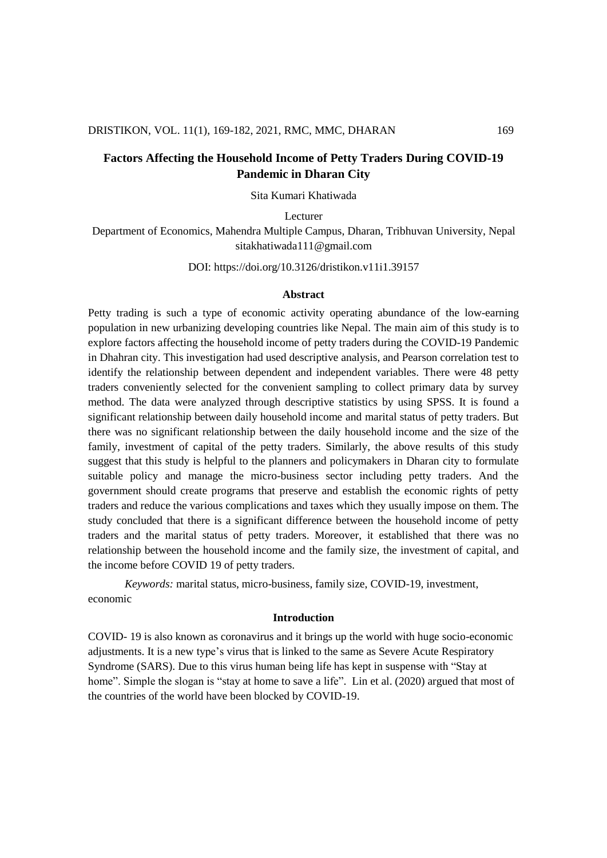# **Factors Affecting the Household Income of Petty Traders During COVID-19 Pandemic in Dharan City**

Sita Kumari Khatiwada

Lecturer

Department of Economics, Mahendra Multiple Campus, Dharan, Tribhuvan University, Nepal sitakhatiwada111@gmail.com

DOI: https://doi.org/10.3126/dristikon.v11i1.39157

#### **Abstract**

Petty trading is such a type of economic activity operating abundance of the low-earning population in new urbanizing developing countries like Nepal. The main aim of this study is to explore factors affecting the household income of petty traders during the COVID-19 Pandemic in Dhahran city. This investigation had used descriptive analysis, and Pearson correlation test to identify the relationship between dependent and independent variables. There were 48 petty traders conveniently selected for the convenient sampling to collect primary data by survey method. The data were analyzed through descriptive statistics by using SPSS. It is found a significant relationship between daily household income and marital status of petty traders. But there was no significant relationship between the daily household income and the size of the family, investment of capital of the petty traders. Similarly, the above results of this study suggest that this study is helpful to the planners and policymakers in Dharan city to formulate suitable policy and manage the micro-business sector including petty traders. And the government should create programs that preserve and establish the economic rights of petty traders and reduce the various complications and taxes which they usually impose on them. The study concluded that there is a significant difference between the household income of petty traders and the marital status of petty traders. Moreover, it established that there was no relationship between the household income and the family size, the investment of capital, and the income before COVID 19 of petty traders.

*Keywords:* marital status, micro-business, family size, COVID-19, investment, economic

#### **Introduction**

COVID- 19 is also known as coronavirus and it brings up the world with huge socio-economic adjustments. It is a new type's virus that is linked to the same as Severe Acute Respiratory Syndrome (SARS). Due to this virus human being life has kept in suspense with "Stay at home". Simple the slogan is "stay at home to save a life". Lin et al. (2020) argued that most of the countries of the world have been blocked by COVID-19.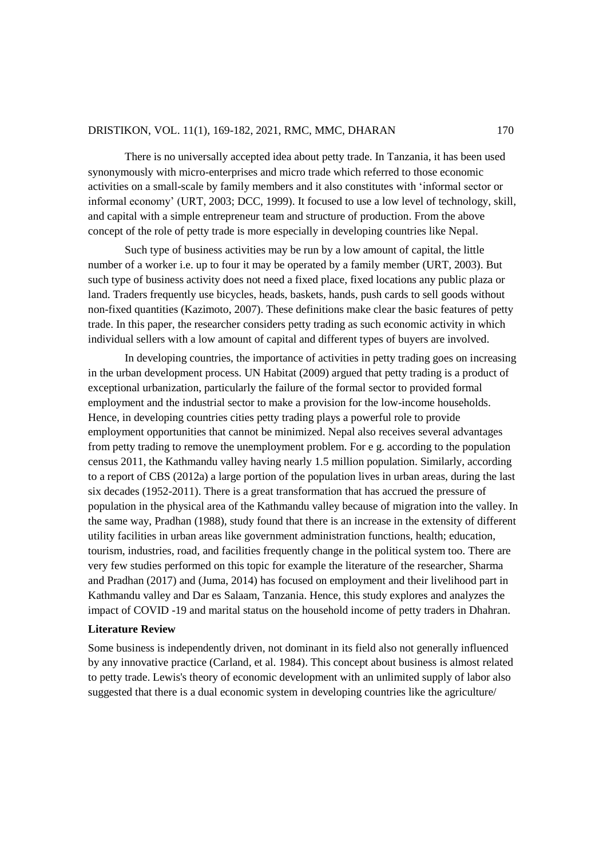There is no universally accepted idea about petty trade. In Tanzania, it has been used synonymously with micro-enterprises and micro trade which referred to those economic activities on a small-scale by family members and it also constitutes with 'informal sector or informal economy' (URT, 2003; DCC, 1999). It focused to use a low level of technology, skill, and capital with a simple entrepreneur team and structure of production. From the above concept of the role of petty trade is more especially in developing countries like Nepal.

Such type of business activities may be run by a low amount of capital, the little number of a worker i.e. up to four it may be operated by a family member (URT, 2003). But such type of business activity does not need a fixed place, fixed locations any public plaza or land. Traders frequently use bicycles, heads, baskets, hands, push cards to sell goods without non-fixed quantities (Kazimoto, 2007). These definitions make clear the basic features of petty trade. In this paper, the researcher considers petty trading as such economic activity in which individual sellers with a low amount of capital and different types of buyers are involved.

In developing countries, the importance of activities in petty trading goes on increasing in the urban development process. UN Habitat (2009) argued that petty trading is a product of exceptional urbanization, particularly the failure of the formal sector to provided formal employment and the industrial sector to make a provision for the low-income households. Hence, in developing countries cities petty trading plays a powerful role to provide employment opportunities that cannot be minimized. Nepal also receives several advantages from petty trading to remove the unemployment problem. For e g. according to the population census 2011, the Kathmandu valley having nearly 1.5 million population. Similarly, according to a report of CBS (2012a) a large portion of the population lives in urban areas, during the last six decades (1952-2011). There is a great transformation that has accrued the pressure of population in the physical area of the Kathmandu valley because of migration into the valley. In the same way, Pradhan (1988), study found that there is an increase in the extensity of different utility facilities in urban areas like government administration functions, health; education, tourism, industries, road, and facilities frequently change in the political system too. There are very few studies performed on this topic for example the literature of the researcher, Sharma and Pradhan (2017) and (Juma, 2014) has focused on employment and their livelihood part in Kathmandu valley and Dar es Salaam, Tanzania. Hence, this study explores and analyzes the impact of COVID -19 and marital status on the household income of petty traders in Dhahran.

#### **Literature Review**

Some business is independently driven, not dominant in its field also not generally influenced by any innovative practice (Carland, et al. 1984). This concept about business is almost related to petty trade. Lewis's theory of economic development with an unlimited supply of labor also suggested that there is a dual economic system in developing countries like the agriculture/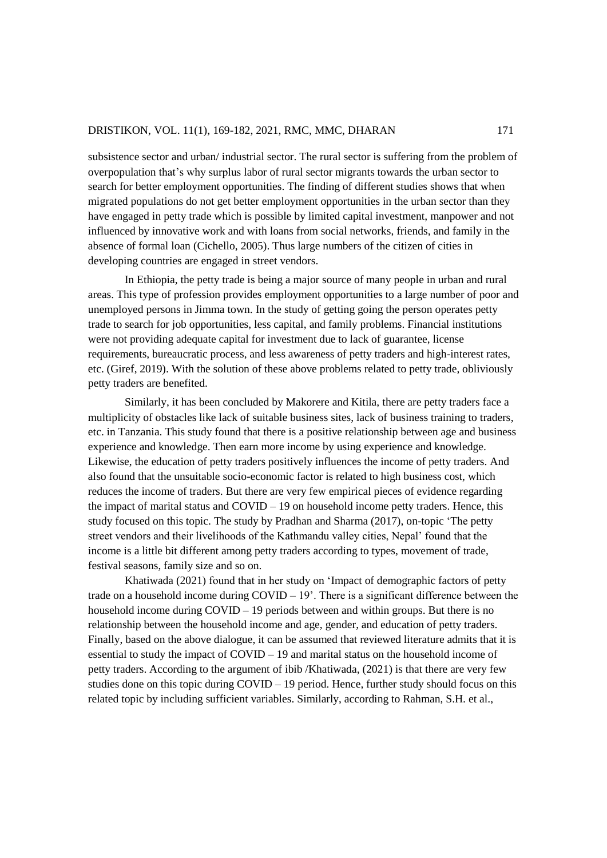subsistence sector and urban/ industrial sector. The rural sector is suffering from the problem of overpopulation that's why surplus labor of rural sector migrants towards the urban sector to search for better employment opportunities. The finding of different studies shows that when migrated populations do not get better employment opportunities in the urban sector than they have engaged in petty trade which is possible by limited capital investment, manpower and not influenced by innovative work and with loans from social networks, friends, and family in the absence of formal loan (Cichello, 2005). Thus large numbers of the citizen of cities in developing countries are engaged in street vendors.

In Ethiopia, the petty trade is being a major source of many people in urban and rural areas. This type of profession provides employment opportunities to a large number of poor and unemployed persons in Jimma town. In the study of getting going the person operates petty trade to search for job opportunities, less capital, and family problems. Financial institutions were not providing adequate capital for investment due to lack of guarantee, license requirements, bureaucratic process, and less awareness of petty traders and high-interest rates, etc. (Giref, 2019). With the solution of these above problems related to petty trade, obliviously petty traders are benefited.

Similarly, it has been concluded by Makorere and Kitila, there are petty traders face a multiplicity of obstacles like lack of suitable business sites, lack of business training to traders, etc. in Tanzania. This study found that there is a positive relationship between age and business experience and knowledge. Then earn more income by using experience and knowledge. Likewise, the education of petty traders positively influences the income of petty traders. And also found that the unsuitable socio-economic factor is related to high business cost, which reduces the income of traders. But there are very few empirical pieces of evidence regarding the impact of marital status and COVID – 19 on household income petty traders. Hence, this study focused on this topic. The study by Pradhan and Sharma (2017), on-topic 'The petty street vendors and their livelihoods of the Kathmandu valley cities, Nepal' found that the income is a little bit different among petty traders according to types, movement of trade, festival seasons, family size and so on.

Khatiwada (2021) found that in her study on 'Impact of demographic factors of petty trade on a household income during  $COVID - 19'$ . There is a significant difference between the household income during  $COVID - 19$  periods between and within groups. But there is no relationship between the household income and age, gender, and education of petty traders. Finally, based on the above dialogue, it can be assumed that reviewed literature admits that it is essential to study the impact of  $\text{COVID} - 19$  and marital status on the household income of petty traders. According to the argument of ibib /Khatiwada, (2021) is that there are very few studies done on this topic during  $COVID - 19$  period. Hence, further study should focus on this related topic by including sufficient variables. Similarly, according to Rahman, S.H. et al.,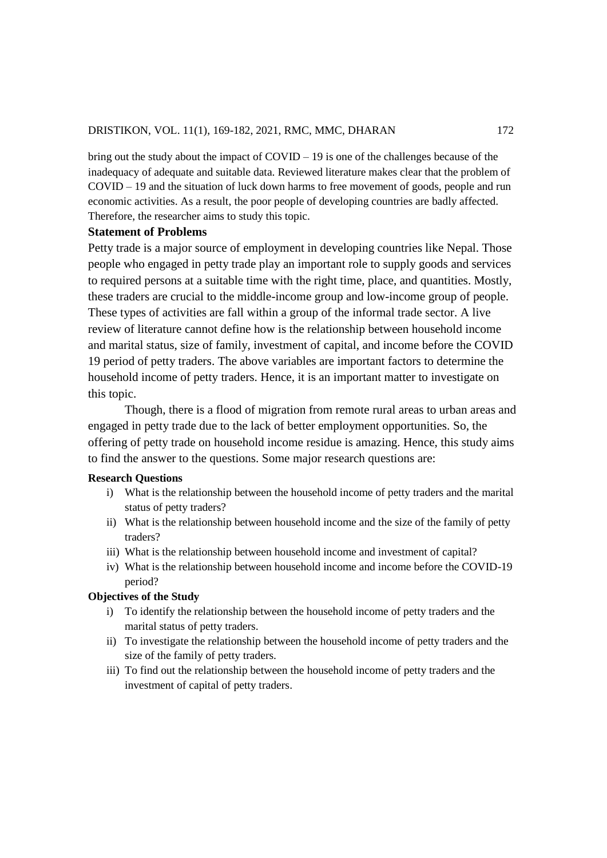bring out the study about the impact of COVID – 19 is one of the challenges because of the inadequacy of adequate and suitable data. Reviewed literature makes clear that the problem of COVID – 19 and the situation of luck down harms to free movement of goods, people and run economic activities. As a result, the poor people of developing countries are badly affected. Therefore, the researcher aims to study this topic.

### **Statement of Problems**

Petty trade is a major source of employment in developing countries like Nepal. Those people who engaged in petty trade play an important role to supply goods and services to required persons at a suitable time with the right time, place, and quantities. Mostly, these traders are crucial to the middle-income group and low-income group of people. These types of activities are fall within a group of the informal trade sector. A live review of literature cannot define how is the relationship between household income and marital status, size of family, investment of capital, and income before the COVID 19 period of petty traders. The above variables are important factors to determine the household income of petty traders. Hence, it is an important matter to investigate on this topic.

Though, there is a flood of migration from remote rural areas to urban areas and engaged in petty trade due to the lack of better employment opportunities. So, the offering of petty trade on household income residue is amazing. Hence, this study aims to find the answer to the questions. Some major research questions are:

#### **Research Questions**

- i) What is the relationship between the household income of petty traders and the marital status of petty traders?
- ii) What is the relationship between household income and the size of the family of petty traders?
- iii) What is the relationship between household income and investment of capital?
- iv) What is the relationship between household income and income before the COVID-19 period?

## **Objectives of the Study**

- i) To identify the relationship between the household income of petty traders and the marital status of petty traders.
- ii) To investigate the relationship between the household income of petty traders and the size of the family of petty traders.
- iii) To find out the relationship between the household income of petty traders and the investment of capital of petty traders.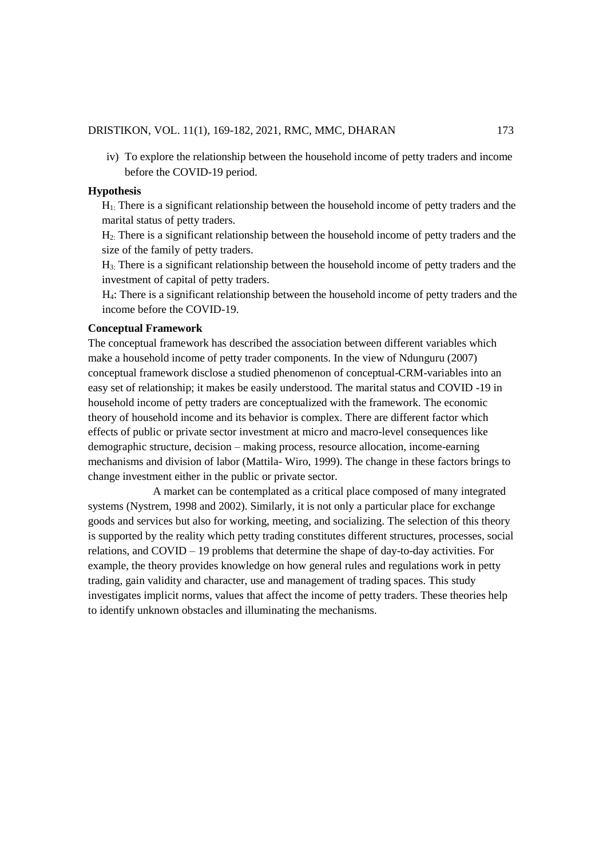iv) To explore the relationship between the household income of petty traders and income before the COVID-19 period.

#### **Hypothesis**

H1: There is a significant relationship between the household income of petty traders and the marital status of petty traders.

H2: There is a significant relationship between the household income of petty traders and the size of the family of petty traders.

H3: There is a significant relationship between the household income of petty traders and the investment of capital of petty traders.

 H4: There is a significant relationship between the household income of petty traders and the income before the COVID-19.

#### **Conceptual Framework**

The conceptual framework has described the association between different variables which make a household income of petty trader components. In the view of Ndunguru (2007) conceptual framework disclose a studied phenomenon of conceptual-CRM-variables into an easy set of relationship; it makes be easily understood. The marital status and COVID -19 in household income of petty traders are conceptualized with the framework. The economic theory of household income and its behavior is complex. There are different factor which effects of public or private sector investment at micro and macro-level consequences like demographic structure, decision – making process, resource allocation, income-earning mechanisms and division of labor (Mattila- Wiro, 1999). The change in these factors brings to change investment either in the public or private sector.

 A market can be contemplated as a critical place composed of many integrated systems (Nystrem, 1998 and 2002). Similarly, it is not only a particular place for exchange goods and services but also for working, meeting, and socializing. The selection of this theory is supported by the reality which petty trading constitutes different structures, processes, social relations, and COVID – 19 problems that determine the shape of day-to-day activities. For example, the theory provides knowledge on how general rules and regulations work in petty trading, gain validity and character, use and management of trading spaces. This study investigates implicit norms, values that affect the income of petty traders. These theories help to identify unknown obstacles and illuminating the mechanisms.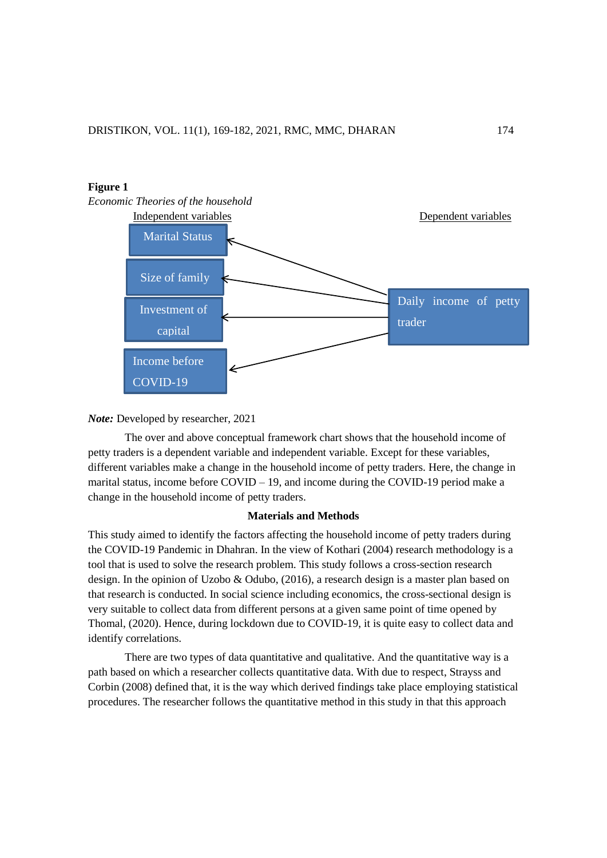

#### *Note:* Developed by researcher, 2021

The over and above conceptual framework chart shows that the household income of petty traders is a dependent variable and independent variable. Except for these variables, different variables make a change in the household income of petty traders. Here, the change in marital status, income before COVID – 19, and income during the COVID-19 period make a change in the household income of petty traders.

#### **Materials and Methods**

This study aimed to identify the factors affecting the household income of petty traders during the COVID-19 Pandemic in Dhahran. In the view of Kothari (2004) research methodology is a tool that is used to solve the research problem. This study follows a cross-section research design. In the opinion of Uzobo & Odubo, (2016), a research design is a master plan based on that research is conducted. In social science including economics, the cross-sectional design is very suitable to collect data from different persons at a given same point of time opened by Thomal, (2020). Hence, during lockdown due to COVID-19, it is quite easy to collect data and identify correlations.

There are two types of data quantitative and qualitative. And the quantitative way is a path based on which a researcher collects quantitative data. With due to respect, Strayss and Corbin (2008) defined that, it is the way which derived findings take place employing statistical procedures. The researcher follows the quantitative method in this study in that this approach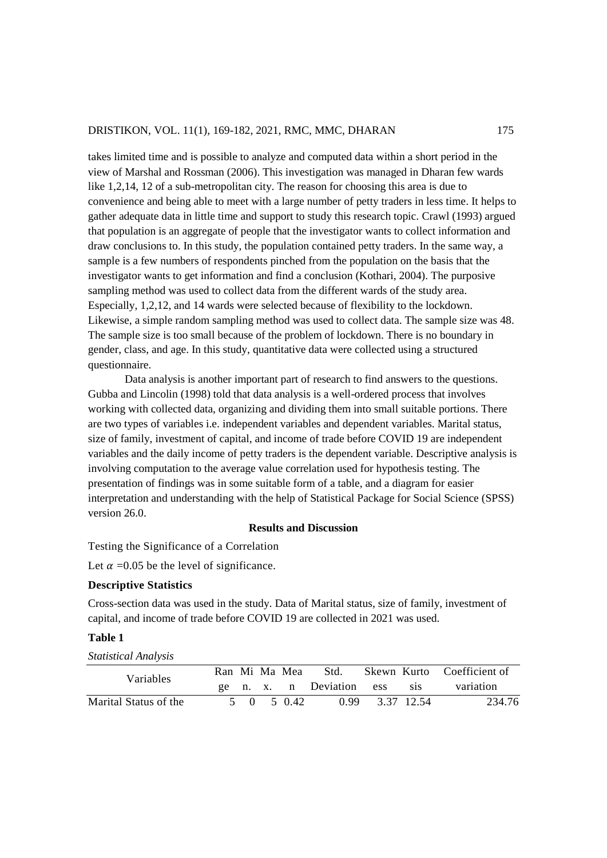takes limited time and is possible to analyze and computed data within a short period in the view of Marshal and Rossman (2006). This investigation was managed in Dharan few wards like 1,2,14, 12 of a sub-metropolitan city. The reason for choosing this area is due to convenience and being able to meet with a large number of petty traders in less time. It helps to gather adequate data in little time and support to study this research topic. Crawl (1993) argued that population is an aggregate of people that the investigator wants to collect information and draw conclusions to. In this study, the population contained petty traders. In the same way, a sample is a few numbers of respondents pinched from the population on the basis that the investigator wants to get information and find a conclusion (Kothari, 2004). The purposive sampling method was used to collect data from the different wards of the study area. Especially, 1,2,12, and 14 wards were selected because of flexibility to the lockdown. Likewise, a simple random sampling method was used to collect data. The sample size was 48. The sample size is too small because of the problem of lockdown. There is no boundary in gender, class, and age. In this study, quantitative data were collected using a structured questionnaire.

Data analysis is another important part of research to find answers to the questions. Gubba and Lincolin (1998) told that data analysis is a well-ordered process that involves working with collected data, organizing and dividing them into small suitable portions. There are two types of variables i.e. independent variables and dependent variables. Marital status, size of family, investment of capital, and income of trade before COVID 19 are independent variables and the daily income of petty traders is the dependent variable. Descriptive analysis is involving computation to the average value correlation used for hypothesis testing. The presentation of findings was in some suitable form of a table, and a diagram for easier interpretation and understanding with the help of Statistical Package for Social Science (SPSS) version 26.0.

## **Results and Discussion**

Testing the Significance of a Correlation

Let  $\alpha$  =0.05 be the level of significance.

#### **Descriptive Statistics**

Cross-section data was used in the study. Data of Marital status, size of family, investment of capital, and income of trade before COVID 19 are collected in 2021 was used.

#### **Table 1**

*Statistical Analysis*

| Variables             |  | Ran Mi Ma Mea | - Std.                     |  | Skewn Kurto Coefficient of             |
|-----------------------|--|---------------|----------------------------|--|----------------------------------------|
|                       |  |               |                            |  | ge n. x. n Deviation ess sis variation |
| Marital Status of the |  |               | 5 0 5 0.42 0.99 3.37 12.54 |  | 234.76                                 |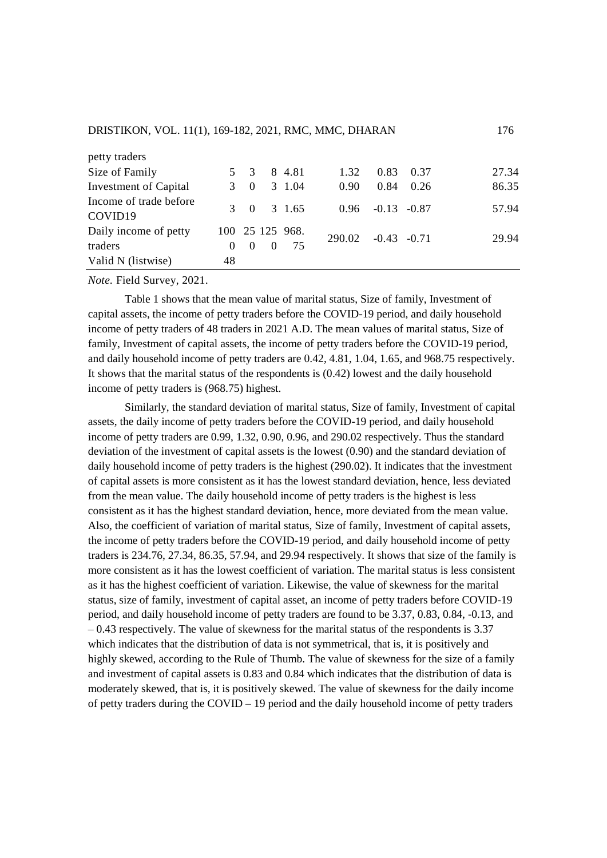| petty traders          |          |             |          |                        |                      |                    |      |       |
|------------------------|----------|-------------|----------|------------------------|----------------------|--------------------|------|-------|
| Size of Family         |          | $5 \quad 3$ |          | 8 4.81                 | 1.32                 | 0.83               | 0.37 | 27.34 |
| Investment of Capital  |          | $3 \quad 0$ |          | 3 1.04                 | 0.90                 | 0.84               | 0.26 | 86.35 |
| Income of trade before | 3        |             |          | $0 \quad 3 \quad 1.65$ |                      | $0.96 -0.13 -0.87$ |      | 57.94 |
| COVID19                |          |             |          |                        |                      |                    |      |       |
| Daily income of petty  |          |             |          | 100 25 125 968.        | $290.02 -0.43 -0.71$ |                    |      | 29.94 |
| traders                | $\Omega$ | $\theta$    | $\Omega$ | 75                     |                      |                    |      |       |
| Valid N (listwise)     | 48       |             |          |                        |                      |                    |      |       |

*Note.* Field Survey, 2021.

Table 1 shows that the mean value of marital status, Size of family, Investment of capital assets, the income of petty traders before the COVID-19 period, and daily household income of petty traders of 48 traders in 2021 A.D. The mean values of marital status, Size of family, Investment of capital assets, the income of petty traders before the COVID-19 period, and daily household income of petty traders are 0.42, 4.81, 1.04, 1.65, and 968.75 respectively. It shows that the marital status of the respondents is (0.42) lowest and the daily household income of petty traders is (968.75) highest.

Similarly, the standard deviation of marital status, Size of family, Investment of capital assets, the daily income of petty traders before the COVID-19 period, and daily household income of petty traders are 0.99, 1.32, 0.90, 0.96, and 290.02 respectively. Thus the standard deviation of the investment of capital assets is the lowest (0.90) and the standard deviation of daily household income of petty traders is the highest (290.02). It indicates that the investment of capital assets is more consistent as it has the lowest standard deviation, hence, less deviated from the mean value. The daily household income of petty traders is the highest is less consistent as it has the highest standard deviation, hence, more deviated from the mean value. Also, the coefficient of variation of marital status, Size of family, Investment of capital assets, the income of petty traders before the COVID-19 period, and daily household income of petty traders is 234.76, 27.34, 86.35, 57.94, and 29.94 respectively. It shows that size of the family is more consistent as it has the lowest coefficient of variation. The marital status is less consistent as it has the highest coefficient of variation. Likewise, the value of skewness for the marital status, size of family, investment of capital asset, an income of petty traders before COVID-19 period, and daily household income of petty traders are found to be 3.37, 0.83, 0.84, -0.13, and – 0.43 respectively. The value of skewness for the marital status of the respondents is 3.37 which indicates that the distribution of data is not symmetrical, that is, it is positively and highly skewed, according to the Rule of Thumb. The value of skewness for the size of a family and investment of capital assets is 0.83 and 0.84 which indicates that the distribution of data is moderately skewed, that is, it is positively skewed. The value of skewness for the daily income of petty traders during the  $COVID - 19$  period and the daily household income of petty traders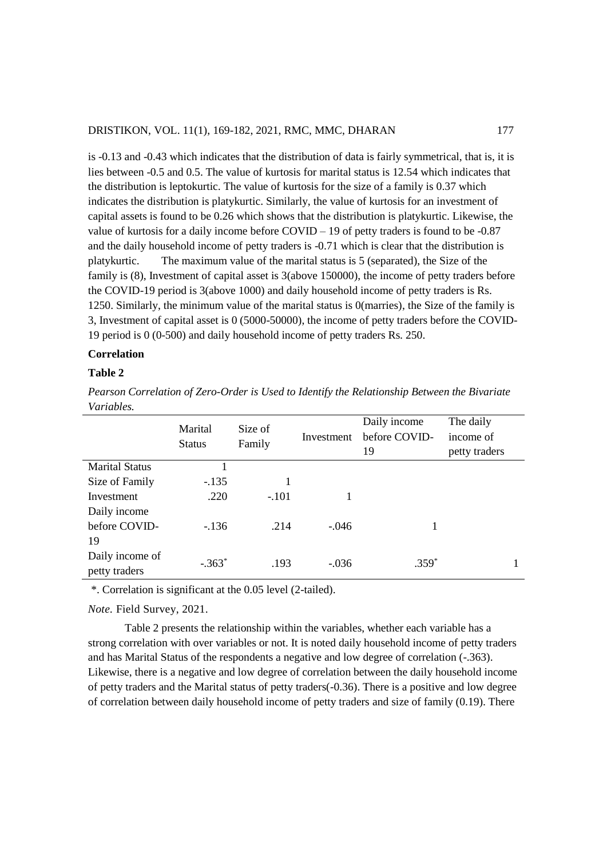is -0.13 and -0.43 which indicates that the distribution of data is fairly symmetrical, that is, it is lies between -0.5 and 0.5. The value of kurtosis for marital status is 12.54 which indicates that the distribution is leptokurtic. The value of kurtosis for the size of a family is 0.37 which indicates the distribution is platykurtic. Similarly, the value of kurtosis for an investment of capital assets is found to be 0.26 which shows that the distribution is platykurtic. Likewise, the value of kurtosis for a daily income before COVID – 19 of petty traders is found to be -0.87 and the daily household income of petty traders is -0.71 which is clear that the distribution is platykurtic. The maximum value of the marital status is 5 (separated), the Size of the family is (8), Investment of capital asset is 3(above 150000), the income of petty traders before the COVID-19 period is 3(above 1000) and daily household income of petty traders is Rs. 1250. Similarly, the minimum value of the marital status is 0(marries), the Size of the family is 3, Investment of capital asset is 0 (5000-50000), the income of petty traders before the COVID-19 period is 0 (0-500) and daily household income of petty traders Rs. 250.

## **Correlation**

## **Table 2**

*Pearson Correlation of Zero-Order is Used to Identify the Relationship Between the Bivariate Variables.*

|                                  | Marital<br><b>Status</b> | Size of<br>Family | Investment | Daily income<br>before COVID-<br>19 | The daily<br>income of<br>petty traders |
|----------------------------------|--------------------------|-------------------|------------|-------------------------------------|-----------------------------------------|
| <b>Marital Status</b>            |                          |                   |            |                                     |                                         |
| Size of Family                   | $-.135$                  |                   |            |                                     |                                         |
| Investment                       | .220                     | $-.101$           |            |                                     |                                         |
| Daily income                     |                          |                   |            |                                     |                                         |
| before COVID-                    | $-136$                   | .214              | $-.046$    |                                     |                                         |
| 19                               |                          |                   |            |                                     |                                         |
| Daily income of<br>petty traders | $-.363*$                 | .193              | $-.036$    | $.359*$                             | 1                                       |

\*. Correlation is significant at the 0.05 level (2-tailed).

*Note.* Field Survey, 2021.

Table 2 presents the relationship within the variables, whether each variable has a strong correlation with over variables or not. It is noted daily household income of petty traders and has Marital Status of the respondents a negative and low degree of correlation (-.363). Likewise, there is a negative and low degree of correlation between the daily household income of petty traders and the Marital status of petty traders(-0.36). There is a positive and low degree of correlation between daily household income of petty traders and size of family (0.19). There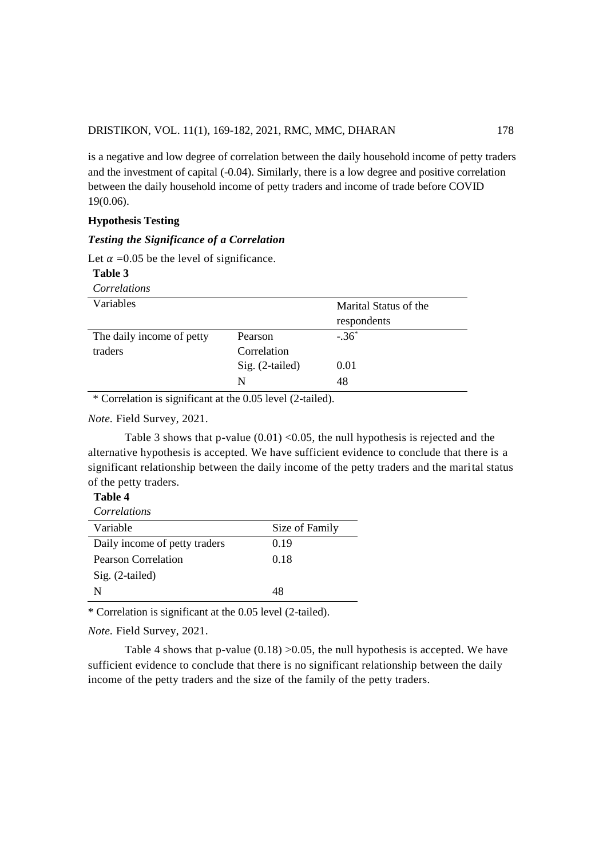is a negative and low degree of correlation between the daily household income of petty traders and the investment of capital (-0.04). Similarly, there is a low degree and positive correlation between the daily household income of petty traders and income of trade before COVID 19(0.06).

### **Hypothesis Testing**

### *Testing the Significance of a Correlation*

Let  $\alpha$  =0.05 be the level of significance.

| Table 3                   |                 |                       |
|---------------------------|-----------------|-----------------------|
| Correlations              |                 |                       |
| Variables                 |                 | Marital Status of the |
|                           |                 | respondents           |
| The daily income of petty | Pearson         | $-.36*$               |
| traders                   | Correlation     |                       |
|                           | Sig. (2-tailed) | 0.01                  |
|                           | N               | 48                    |

\* Correlation is significant at the 0.05 level (2-tailed).

*Note.* Field Survey, 2021.

Table 3 shows that p-value  $(0.01)$  < 0.05, the null hypothesis is rejected and the alternative hypothesis is accepted. We have sufficient evidence to conclude that there is a significant relationship between the daily income of the petty traders and the marital status of the petty traders.

| Table 4 |  |
|---------|--|
|         |  |

| Correlations                  |                |
|-------------------------------|----------------|
| Variable                      | Size of Family |
| Daily income of petty traders | 0.19           |
| Pearson Correlation           | 0.18           |
| $Sig. (2-tailed)$             |                |
| N                             | 48             |

\* Correlation is significant at the 0.05 level (2-tailed).

*Note.* Field Survey, 2021.

Table 4 shows that p-value  $(0.18)$  >0.05, the null hypothesis is accepted. We have sufficient evidence to conclude that there is no significant relationship between the daily income of the petty traders and the size of the family of the petty traders.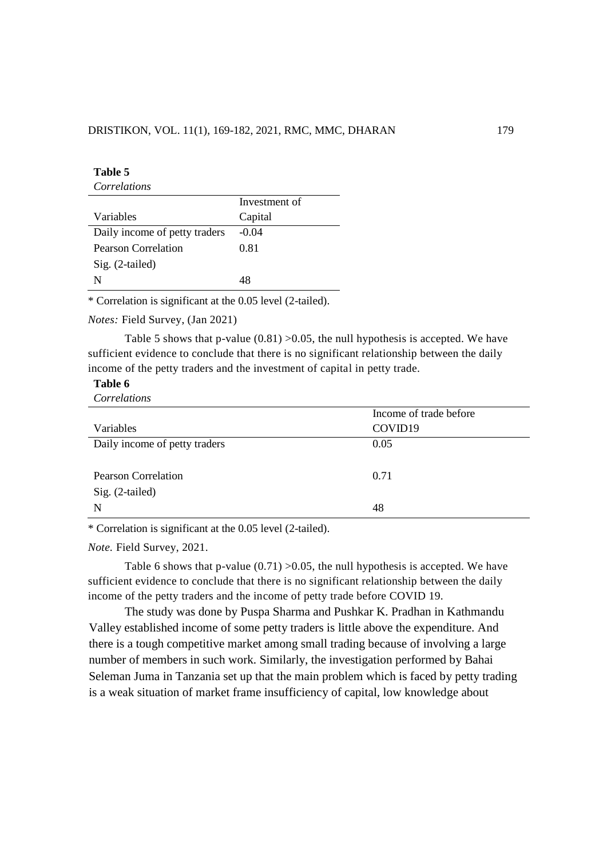| Table 5                       |               |
|-------------------------------|---------------|
| Correlations                  |               |
|                               | Investment of |
| Variables                     | Capital       |
| Daily income of petty traders | $-0.04$       |
| Pearson Correlation           | 0.81          |
| Sig. (2-tailed)               |               |
| N                             | 4Χ            |

\* Correlation is significant at the 0.05 level (2-tailed).

*Notes:* Field Survey, (Jan 2021)

Table 5 shows that p-value  $(0.81) > 0.05$ , the null hypothesis is accepted. We have sufficient evidence to conclude that there is no significant relationship between the daily income of the petty traders and the investment of capital in petty trade.

### **Table 6**

*Correlations*

|                               | Income of trade before |
|-------------------------------|------------------------|
| Variables                     | COVID19                |
| Daily income of petty traders | 0.05                   |
|                               |                        |
| <b>Pearson Correlation</b>    | 0.71                   |
| Sig. (2-tailed)               |                        |
| N                             | 48                     |
|                               |                        |

\* Correlation is significant at the 0.05 level (2-tailed).

*Note.* Field Survey, 2021.

Table 6 shows that p-value  $(0.71) > 0.05$ , the null hypothesis is accepted. We have sufficient evidence to conclude that there is no significant relationship between the daily income of the petty traders and the income of petty trade before COVID 19.

The study was done by Puspa Sharma and Pushkar K. Pradhan in Kathmandu Valley established income of some petty traders is little above the expenditure. And there is a tough competitive market among small trading because of involving a large number of members in such work. Similarly, the investigation performed by Bahai Seleman Juma in Tanzania set up that the main problem which is faced by petty trading is a weak situation of market frame insufficiency of capital, low knowledge about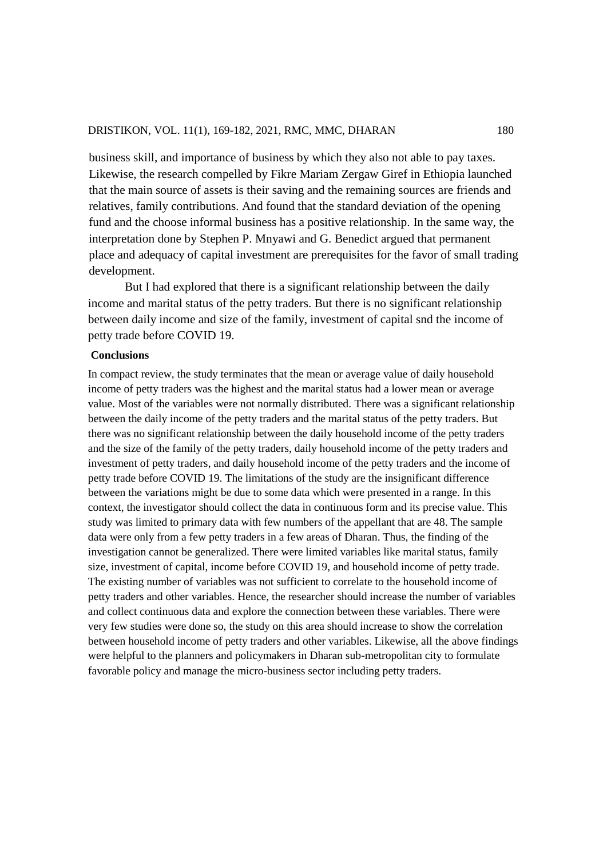business skill, and importance of business by which they also not able to pay taxes. Likewise, the research compelled by Fikre Mariam Zergaw Giref in Ethiopia launched that the main source of assets is their saving and the remaining sources are friends and relatives, family contributions. And found that the standard deviation of the opening fund and the choose informal business has a positive relationship. In the same way, the interpretation done by Stephen P. Mnyawi and G. Benedict argued that permanent place and adequacy of capital investment are prerequisites for the favor of small trading development.

But I had explored that there is a significant relationship between the daily income and marital status of the petty traders. But there is no significant relationship between daily income and size of the family, investment of capital snd the income of petty trade before COVID 19.

### **Conclusions**

In compact review, the study terminates that the mean or average value of daily household income of petty traders was the highest and the marital status had a lower mean or average value. Most of the variables were not normally distributed. There was a significant relationship between the daily income of the petty traders and the marital status of the petty traders. But there was no significant relationship between the daily household income of the petty traders and the size of the family of the petty traders, daily household income of the petty traders and investment of petty traders, and daily household income of the petty traders and the income of petty trade before COVID 19. The limitations of the study are the insignificant difference between the variations might be due to some data which were presented in a range. In this context, the investigator should collect the data in continuous form and its precise value. This study was limited to primary data with few numbers of the appellant that are 48. The sample data were only from a few petty traders in a few areas of Dharan. Thus, the finding of the investigation cannot be generalized. There were limited variables like marital status, family size, investment of capital, income before COVID 19, and household income of petty trade. The existing number of variables was not sufficient to correlate to the household income of petty traders and other variables. Hence, the researcher should increase the number of variables and collect continuous data and explore the connection between these variables. There were very few studies were done so, the study on this area should increase to show the correlation between household income of petty traders and other variables. Likewise, all the above findings were helpful to the planners and policymakers in Dharan sub-metropolitan city to formulate favorable policy and manage the micro-business sector including petty traders.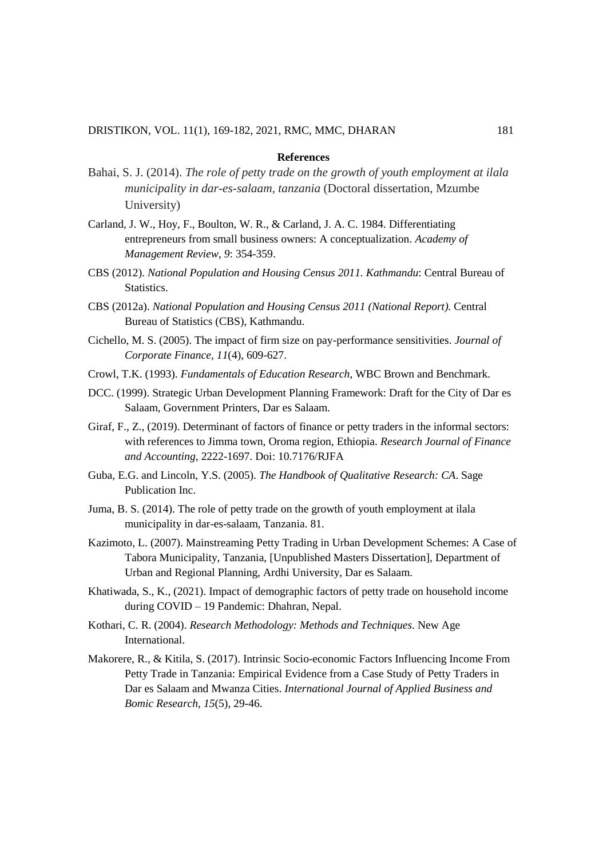#### **References**

- Bahai, S. J. (2014). *The role of petty trade on the growth of youth employment at ilala municipality in dar-es-salaam, tanzania* (Doctoral dissertation, Mzumbe University)
- Carland, J. W., Hoy, F., Boulton, W. R., & Carland, J. A. C. 1984. Differentiating entrepreneurs from small business owners: A conceptualization. *Academy of Management Review, 9*: 354-359.
- CBS (2012). *National Population and Housing Census 2011. Kathmandu*: Central Bureau of Statistics.
- CBS (2012a). *National Population and Housing Census 2011 (National Report).* Central Bureau of Statistics (CBS), Kathmandu.
- Cichello, M. S. (2005). The impact of firm size on pay-performance sensitivities. *Journal of Corporate Finance, 11*(4), 609-627.
- Crowl, T.K. (1993). *Fundamentals of Education Research*, WBC Brown and Benchmark.
- DCC. (1999). Strategic Urban Development Planning Framework: Draft for the City of Dar es Salaam, Government Printers, Dar es Salaam.
- Giraf, F., Z., (2019). Determinant of factors of finance or petty traders in the informal sectors: with references to Jimma town, Oroma region, Ethiopia. *Research Journal of Finance and Accounting,* 2222-1697. Doi: 10.7176/RJFA
- Guba, E.G. and Lincoln, Y.S. (2005). *The Handbook of Qualitative Research: CA*. Sage Publication Inc.
- Juma, B. S. (2014). The role of petty trade on the growth of youth employment at ilala municipality in dar-es-salaam, Tanzania. 81.
- Kazimoto, L. (2007). Mainstreaming Petty Trading in Urban Development Schemes: A Case of Tabora Municipality, Tanzania, [Unpublished Masters Dissertation], Department of Urban and Regional Planning, Ardhi University, Dar es Salaam.
- Khatiwada, S., K., (2021). Impact of demographic factors of petty trade on household income during COVID – 19 Pandemic: Dhahran, Nepal.
- Kothari, C. R. (2004). *Research Methodology: Methods and Techniques*. New Age International.
- Makorere, R., & Kitila, S. (2017). Intrinsic Socio-economic Factors Influencing Income From Petty Trade in Tanzania: Empirical Evidence from a Case Study of Petty Traders in Dar es Salaam and Mwanza Cities. *International Journal of Applied Business and Bomic Research, 15*(5), 29-46.